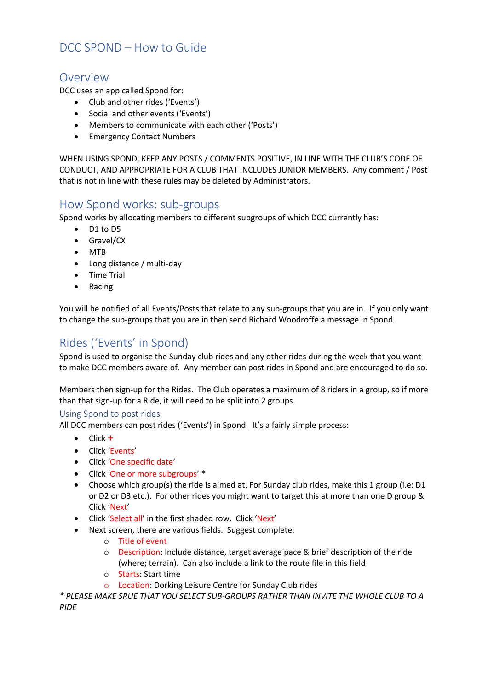## DCC SPOND – How to Guide

### Overview

DCC uses an app called Spond for:

- Club and other rides ('Events')
- Social and other events ('Events')
- Members to communicate with each other ('Posts')
- Emergency Contact Numbers

WHEN USING SPOND, KEEP ANY POSTS / COMMENTS POSITIVE, IN LINE WITH THE CLUB'S CODE OF CONDUCT, AND APPROPRIATE FOR A CLUB THAT INCLUDES JUNIOR MEMBERS. Any comment / Post that is not in line with these rules may be deleted by Administrators.

### How Spond works: sub-groups

Spond works by allocating members to different subgroups of which DCC currently has:

- D1 to D5
- Gravel/CX
- MTB
- Long distance / multi-day
- Time Trial
- Racing

You will be notified of all Events/Posts that relate to any sub-groups that you are in. If you only want to change the sub-groups that you are in then send Richard Woodroffe a message in Spond.

# Rides ('Events' in Spond)

Spond is used to organise the Sunday club rides and any other rides during the week that you want to make DCC members aware of. Any member can post rides in Spond and are encouraged to do so.

Members then sign-up for the Rides. The Club operates a maximum of 8 riders in a group, so if more than that sign-up for a Ride, it will need to be split into 2 groups.

#### Using Spond to post rides

All DCC members can post rides ('Events') in Spond. It's a fairly simple process:

- $\bullet$  Click  $+$
- Click 'Events'
- Click 'One specific date'
- Click 'One or more subgroups' \*
- Choose which group(s) the ride is aimed at. For Sunday club rides, make this 1 group (i.e: D1 or D2 or D3 etc.). For other rides you might want to target this at more than one D group & Click 'Next'
- Click 'Select all' in the first shaded row. Click 'Next'
- Next screen, there are various fields. Suggest complete:
	- o Title of event
	- $\circ$  Description: Include distance, target average pace & brief description of the ride (where; terrain). Can also include a link to the route file in this field
	- o Starts: Start time
	- o Location: Dorking Leisure Centre for Sunday Club rides

*\* PLEASE MAKE SRUE THAT YOU SELECT SUB-GROUPS RATHER THAN INVITE THE WHOLE CLUB TO A RIDE*